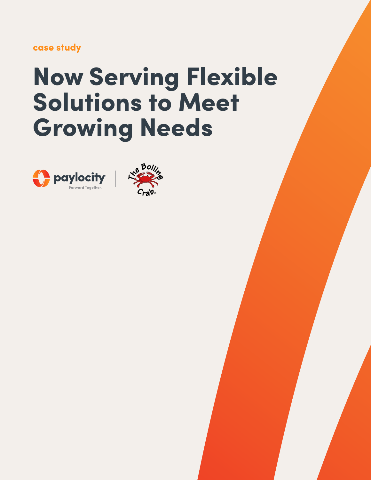case study

# Now Serving Flexible Solutions to Meet Growing Needs



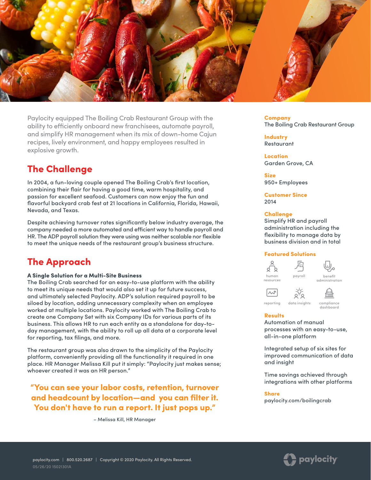

Paylocity equipped The Boiling Crab Restaurant Group with the ability to efficiently onboard new franchisees, automate payroll, and simplify HR management when its mix of down-home Cajun recipes, lively environment, and happy employees resulted in explosive growth.

## The Challenge

In 2004, a fun-loving couple opened The Boiling Crab's first location, combining their flair for having a good time, warm hospitality, and passion for excellent seafood. Customers can now enjoy the fun and flavorful backyard crab fest at 21 locations in California, Florida, Hawaii, Nevada, and Texas.

Despite achieving turnover rates significantly below industry average, the company needed a more automated and efficient way to handle payroll and HR. The ADP payroll solution they were using was neither scalable nor flexible to meet the unique needs of the restaurant group's business structure.

# The Approach

#### A Single Solution for a Multi-Site Business

The Boiling Crab searched for an easy-to-use platform with the ability to meet its unique needs that would also set it up for future success, and ultimately selected Paylocity. ADP's solution required payroll to be siloed by location, adding unnecessary complexity when an employee worked at multiple locations. Paylocity worked with The Boiling Crab to create one Company Set with six Company IDs for various parts of its business. This allows HR to run each entity as a standalone for day-today management, with the ability to roll up all data at a corporate level for reporting, tax filings, and more.

The restaurant group was also drawn to the simplicity of the Paylocity platform, conveniently providing all the functionality it required in one place. HR Manager Melissa Kill put it simply: "Paylocity just makes sense; whoever created it was an HR person."

"You can see your labor costs, retention, turnover and headcount by location—and you can filter it. You don't have to run a report. It just pops up."

– Melissa Kill, HR Manager

Company The Boiling Crab Restaurant Group

**Industry** Restaurant

Location Garden Grove, CA

Size 950+ Employees

Customer Since 2014

#### **Challenge**

Simplify HR and payroll administration including the flexibility to manage data by business division and in total

#### Featured Solutions



[reporting](https://www.paylocity.com/our-products/data-insights/?utm_source=offline&utm_medium=pdf&utm_campaign=casestudy&asset=15021301a_boilingcrab) [data insights](https://www.paylocity.com/our-products/data-insights/?utm_source=offline&utm_medium=pdf&utm_campaign=casestudy&asset=15021301a_boilingcrab) [compliance](https://www.paylocity.com/our-products/human-resources/compliance-dashboard/?utm_source=offline&utm_medium=pdf&utm_campaign=casestudy&asset=15021301a_boilingcrab)

晉 dashboard

Results

Automation of manual processes with an easy-to-use, all-in-one platform

Integrated setup of six sites for improved communication of data and insight

Time savings achieved through integrations with other platforms

#### **Share**

paylocity.com/boilingcrab